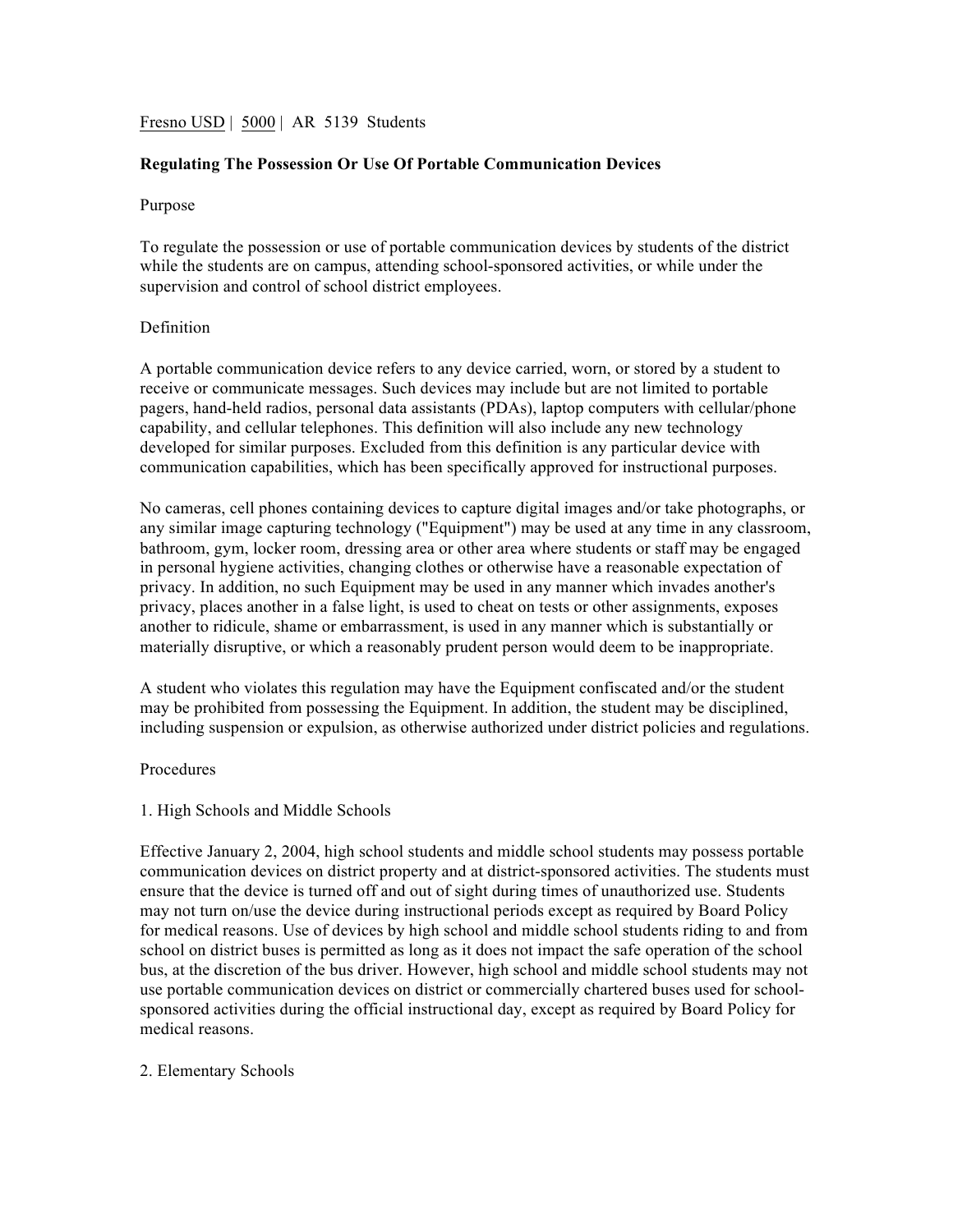# Fresno USD | 5000 | AR 5139 Students

# **Regulating The Possession Or Use Of Portable Communication Devices**

#### Purpose

To regulate the possession or use of portable communication devices by students of the district while the students are on campus, attending school-sponsored activities, or while under the supervision and control of school district employees.

#### Definition

A portable communication device refers to any device carried, worn, or stored by a student to receive or communicate messages. Such devices may include but are not limited to portable pagers, hand-held radios, personal data assistants (PDAs), laptop computers with cellular/phone capability, and cellular telephones. This definition will also include any new technology developed for similar purposes. Excluded from this definition is any particular device with communication capabilities, which has been specifically approved for instructional purposes.

No cameras, cell phones containing devices to capture digital images and/or take photographs, or any similar image capturing technology ("Equipment") may be used at any time in any classroom, bathroom, gym, locker room, dressing area or other area where students or staff may be engaged in personal hygiene activities, changing clothes or otherwise have a reasonable expectation of privacy. In addition, no such Equipment may be used in any manner which invades another's privacy, places another in a false light, is used to cheat on tests or other assignments, exposes another to ridicule, shame or embarrassment, is used in any manner which is substantially or materially disruptive, or which a reasonably prudent person would deem to be inappropriate.

A student who violates this regulation may have the Equipment confiscated and/or the student may be prohibited from possessing the Equipment. In addition, the student may be disciplined, including suspension or expulsion, as otherwise authorized under district policies and regulations.

### Procedures

#### 1. High Schools and Middle Schools

Effective January 2, 2004, high school students and middle school students may possess portable communication devices on district property and at district-sponsored activities. The students must ensure that the device is turned off and out of sight during times of unauthorized use. Students may not turn on/use the device during instructional periods except as required by Board Policy for medical reasons. Use of devices by high school and middle school students riding to and from school on district buses is permitted as long as it does not impact the safe operation of the school bus, at the discretion of the bus driver. However, high school and middle school students may not use portable communication devices on district or commercially chartered buses used for schoolsponsored activities during the official instructional day, except as required by Board Policy for medical reasons.

#### 2. Elementary Schools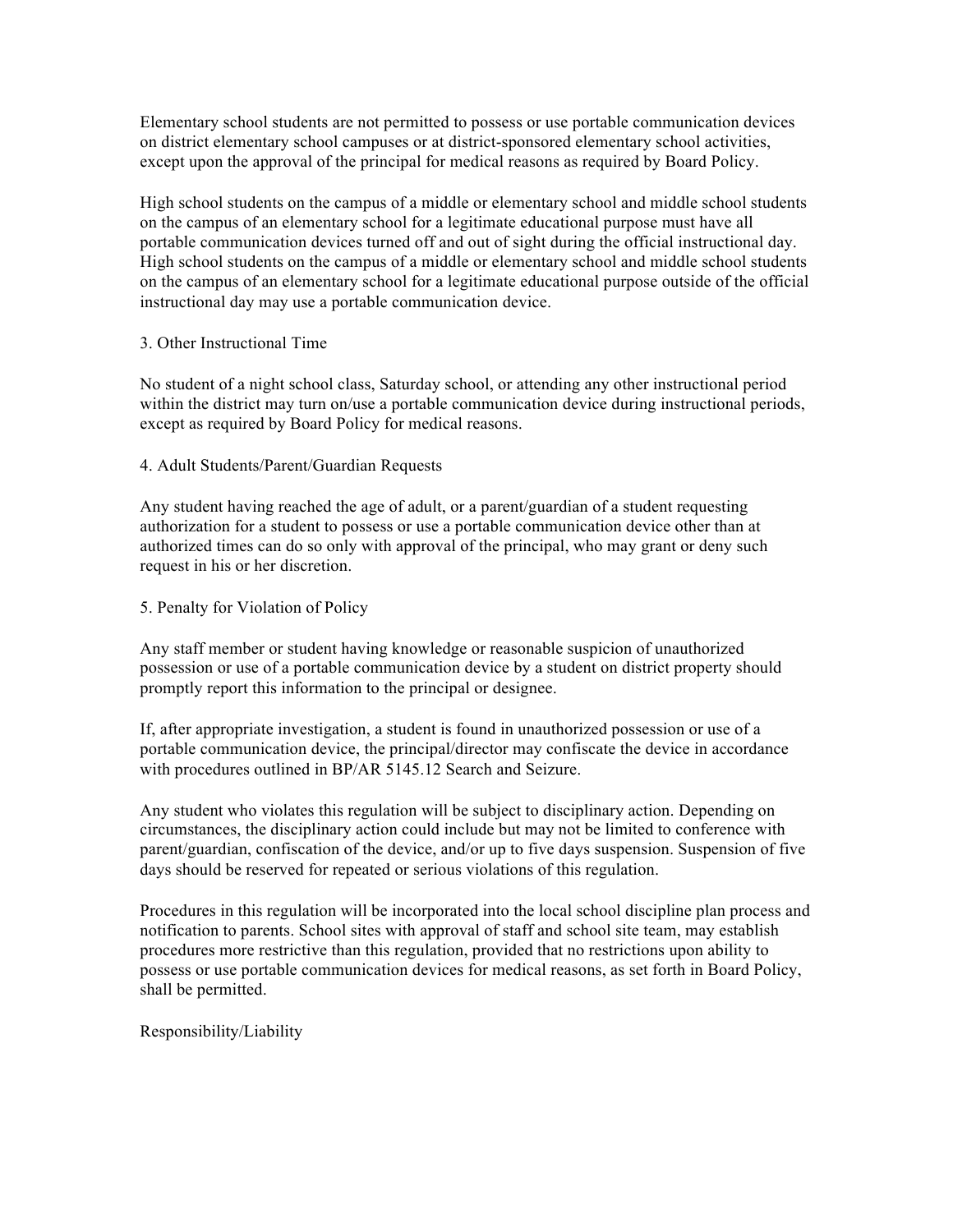Elementary school students are not permitted to possess or use portable communication devices on district elementary school campuses or at district-sponsored elementary school activities, except upon the approval of the principal for medical reasons as required by Board Policy.

High school students on the campus of a middle or elementary school and middle school students on the campus of an elementary school for a legitimate educational purpose must have all portable communication devices turned off and out of sight during the official instructional day. High school students on the campus of a middle or elementary school and middle school students on the campus of an elementary school for a legitimate educational purpose outside of the official instructional day may use a portable communication device.

## 3. Other Instructional Time

No student of a night school class, Saturday school, or attending any other instructional period within the district may turn on/use a portable communication device during instructional periods, except as required by Board Policy for medical reasons.

## 4. Adult Students/Parent/Guardian Requests

Any student having reached the age of adult, or a parent/guardian of a student requesting authorization for a student to possess or use a portable communication device other than at authorized times can do so only with approval of the principal, who may grant or deny such request in his or her discretion.

## 5. Penalty for Violation of Policy

Any staff member or student having knowledge or reasonable suspicion of unauthorized possession or use of a portable communication device by a student on district property should promptly report this information to the principal or designee.

If, after appropriate investigation, a student is found in unauthorized possession or use of a portable communication device, the principal/director may confiscate the device in accordance with procedures outlined in BP/AR 5145.12 Search and Seizure.

Any student who violates this regulation will be subject to disciplinary action. Depending on circumstances, the disciplinary action could include but may not be limited to conference with parent/guardian, confiscation of the device, and/or up to five days suspension. Suspension of five days should be reserved for repeated or serious violations of this regulation.

Procedures in this regulation will be incorporated into the local school discipline plan process and notification to parents. School sites with approval of staff and school site team, may establish procedures more restrictive than this regulation, provided that no restrictions upon ability to possess or use portable communication devices for medical reasons, as set forth in Board Policy, shall be permitted.

Responsibility/Liability